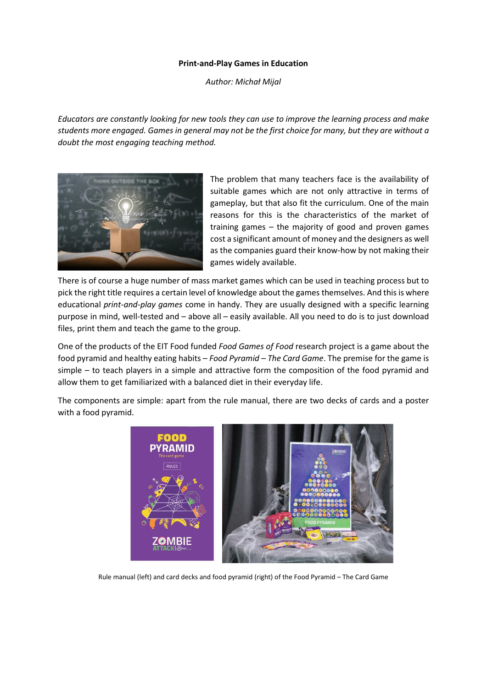## **Print-and-Play Games in Education**

*Author: Michał Mijal*

*Educators are constantly looking for new tools they can use to improve the learning process and make students more engaged. Games in general may not be the first choice for many, but they are without a doubt the most engaging teaching method.*



The problem that many teachers face is the availability of suitable games which are not only attractive in terms of gameplay, but that also fit the curriculum. One of the main reasons for this is the characteristics of the market of training games – the majority of good and proven games cost a significant amount of money and the designers as well as the companies guard their know-how by not making their games widely available.

There is of course a huge number of mass market games which can be used in teaching process but to pick the right title requires a certain level of knowledge about the games themselves. And this is where educational *print-and-play games* come in handy. They are usually designed with a specific learning purpose in mind, well-tested and – above all – easily available. All you need to do is to just download files, print them and teach the game to the group.

One of the products of the EIT Food funded *Food Games of Food* research project is a game about the food pyramid and healthy eating habits – *Food Pyramid – The Card Game*. The premise for the game is simple – to teach players in a simple and attractive form the composition of the food pyramid and allow them to get familiarized with a balanced diet in their everyday life.

The components are simple: apart from the rule manual, there are two decks of cards and a poster with a food pyramid.



Rule manual (left) and card decks and food pyramid (right) of the Food Pyramid – The Card Game